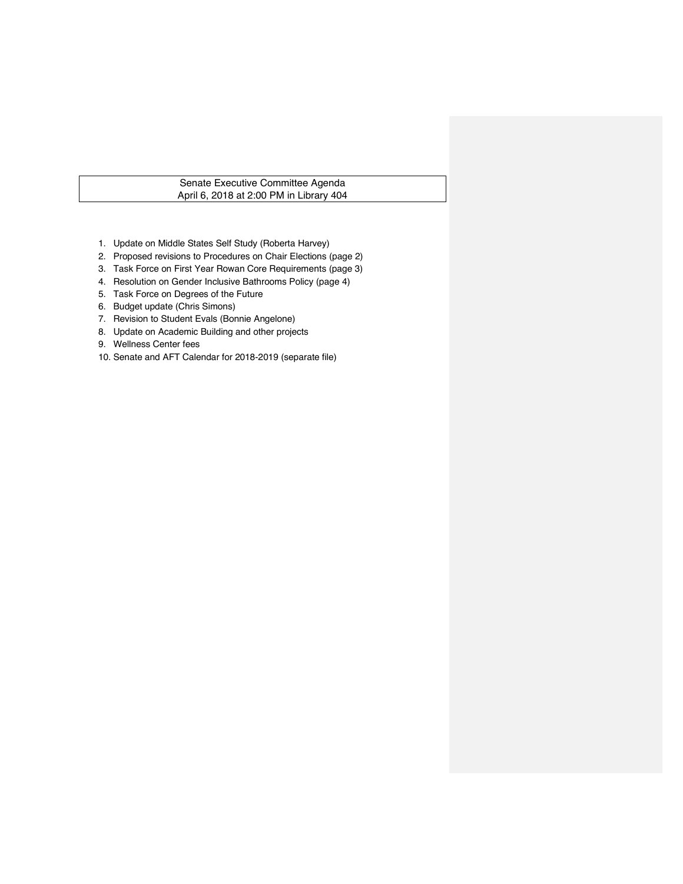# Senate Executive Committee Agenda April 6, 2018 at 2:00 PM in Library 404

- 1. Update on Middle States Self Study (Roberta Harvey)
- 2. Proposed revisions to Procedures on Chair Elections (page 2)
- 3. Task Force on First Year Rowan Core Requirements (page 3)
- 4. Resolution on Gender Inclusive Bathrooms Policy (page 4)
- 5. Task Force on Degrees of the Future
- 6. Budget update (Chris Simons)
- 7. Revision to Student Evals (Bonnie Angelone)
- 8. Update on Academic Building and other projects
- 9. Wellness Center fees
- 10. Senate and AFT Calendar for 2018-2019 (separate file)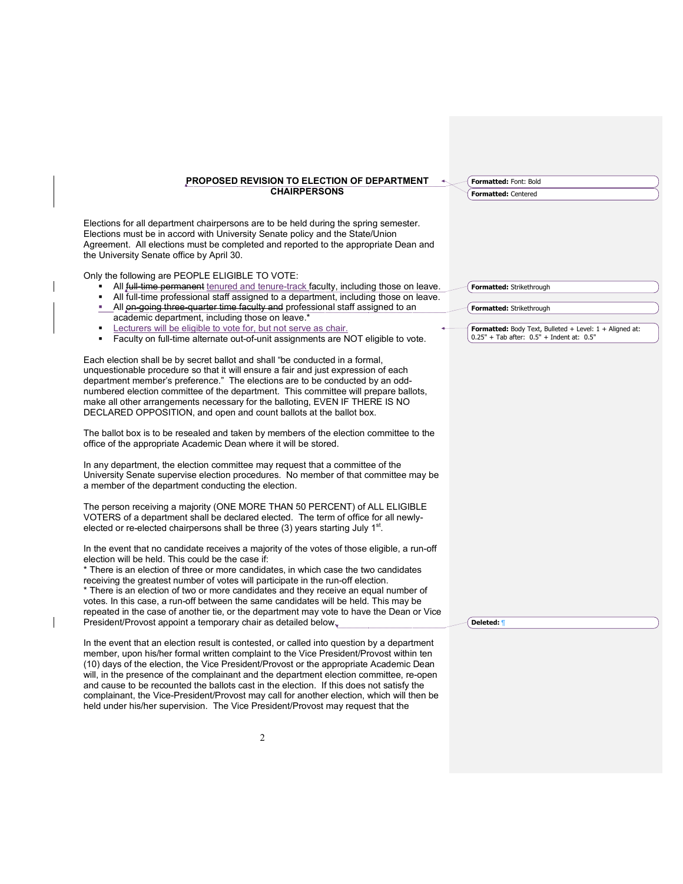#### **PROPOSED REVISION TO ELECTION OF DEPARTMENT CHAIRPERSONS**

**Formatted:** Font: Bold **Formatted:** Centered

Elections for all department chairpersons are to be held during the spring semester. Elections must be in accord with University Senate policy and the State/Union Agreement. All elections must be completed and reported to the appropriate Dean and the University Senate office by April 30.

Only the following are PEOPLE ELIGIBLE TO VOTE:

- **All full-time permanent** tenured and tenure-track faculty, including those on leave.
- All full-time professional staff assigned to a department, including those on leave.
- All on-going three-quarter time faculty and professional staff assigned to an academic department, including those on leave.\*
- Lecturers will be eligible to vote for, but not serve as chair.
- Faculty on full-time alternate out-of-unit assignments are NOT eligible to vote.

Each election shall be by secret ballot and shall "be conducted in a formal, unquestionable procedure so that it will ensure a fair and just expression of each department member's preference." The elections are to be conducted by an oddnumbered election committee of the department. This committee will prepare ballots, make all other arrangements necessary for the balloting, EVEN IF THERE IS NO DECLARED OPPOSITION, and open and count ballots at the ballot box.

The ballot box is to be resealed and taken by members of the election committee to the office of the appropriate Academic Dean where it will be stored.

In any department, the election committee may request that a committee of the University Senate supervise election procedures. No member of that committee may be a member of the department conducting the election.

The person receiving a majority (ONE MORE THAN 50 PERCENT) of ALL ELIGIBLE VOTERS of a department shall be declared elected. The term of office for all newlyelected or re-elected chairpersons shall be three (3) years starting July 1<sup>st</sup>.

In the event that no candidate receives a majority of the votes of those eligible, a run-off election will be held. This could be the case if:

\* There is an election of three or more candidates, in which case the two candidates receiving the greatest number of votes will participate in the run-off election. \* There is an election of two or more candidates and they receive an equal number of votes. In this case, a run-off between the same candidates will be held. This may be repeated in the case of another tie, or the department may vote to have the Dean or Vice President/Provost appoint a temporary chair as detailed below.

In the event that an election result is contested, or called into question by a department member, upon his/her formal written complaint to the Vice President/Provost within ten (10) days of the election, the Vice President/Provost or the appropriate Academic Dean will, in the presence of the complainant and the department election committee, re-open and cause to be recounted the ballots cast in the election. If this does not satisfy the complainant, the Vice-President/Provost may call for another election, which will then be held under his/her supervision. The Vice President/Provost may request that the

**Formatted:** Strikethrough

**Formatted:** Strikethrough

**Formatted:** Body Text, Bulleted + Level: 1 + Aligned at: 0.25" + Tab after: 0.5" + Indent at: 0.5"

**Deleted:** ¶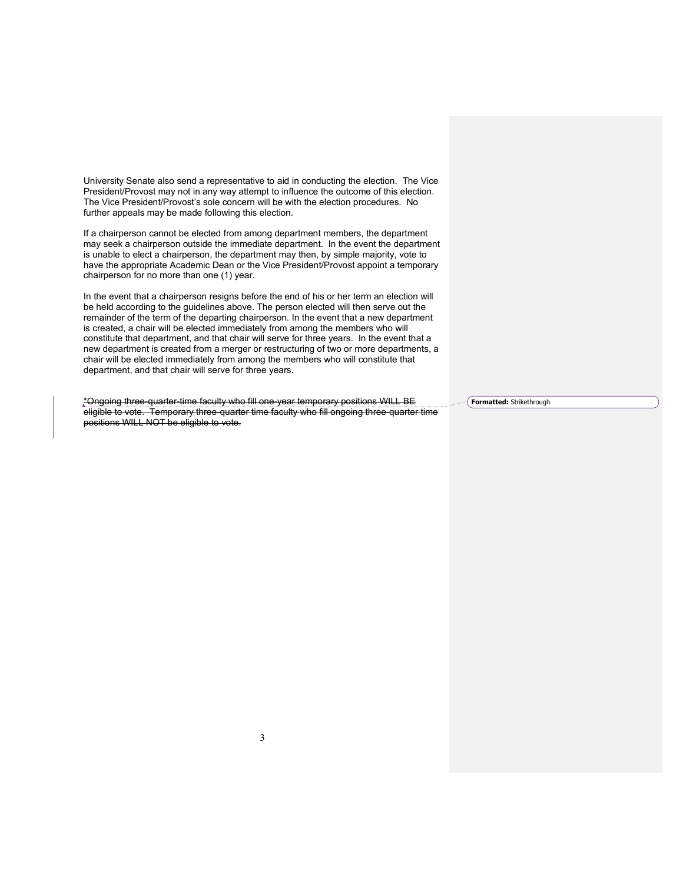University Senate also send a representative to aid in conducting the election. The Vice President/Provost may not in any way attempt to influence the outcome of this election. The Vice President/Provost's sole concern will be with the election procedures. No further appeals may be made following this election.

If a chairperson cannot be elected from among department members, the department may seek a chairperson outside the immediate department. In the event the department is unable to elect a chairperson, the department may then, by simple majority, vote to have the appropriate Academic Dean or the Vice President/Provost appoint a temporary chairperson for no more than one (1) year.

In the event that a chairperson resigns before the end of his or her term an election will be held according to the guidelines above. The person elected will then serve out the remainder of the term of the departing chairperson. In the event that a new department is created, a chair will be elected immediately from among the members who will constitute that department, and that chair will serve for three years. In the event that a new department is created from a merger or restructuring of two or more departments, a chair will be elected immediately from among the members who will constitute that department, and that chair will serve for three years.

\*Ongoing three-quarter-time faculty who fill one-year temporary positions WILL BE eligible to vote. Temporary three-quarter time faculty who fill ongoing three-quarter time positions WILL NOT be eligible to vote.

**Formatted:** Strikethrough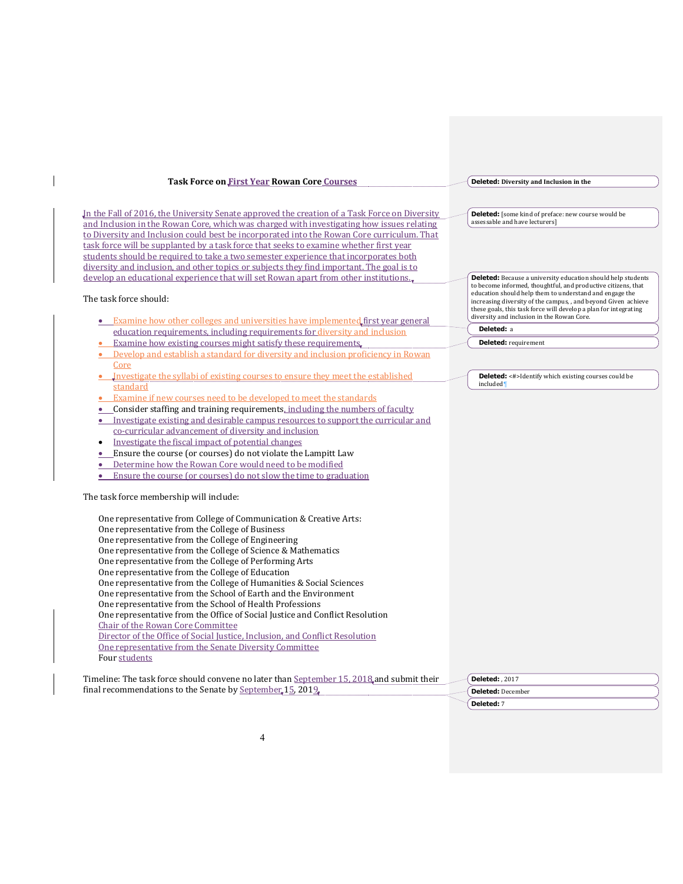| <b>Task Force on First Year Rowan Core Courses</b>                                                                                                       | <b>Deleted:</b> Diversity and Inclusion in the                                                                           |
|----------------------------------------------------------------------------------------------------------------------------------------------------------|--------------------------------------------------------------------------------------------------------------------------|
| In the Fall of 2016, the University Senate approved the creation of a Task Force on Diversity                                                            | Deleted: [some kind of preface: new course would be                                                                      |
| and Inclusion in the Rowan Core, which was charged with investigating how issues relating                                                                | assessable and have lecturers]                                                                                           |
| to Diversity and Inclusion could best be incorporated into the Rowan Core curriculum. That                                                               |                                                                                                                          |
| task force will be supplanted by a task force that seeks to examine whether first year                                                                   |                                                                                                                          |
| students should be required to take a two semester experience that incorporates both                                                                     |                                                                                                                          |
| diversity and inclusion, and other topics or subjects they find important. The goal is to                                                                |                                                                                                                          |
| develop an educational experience that will set Rowan apart from other institutions.                                                                     | <b>Deleted:</b> Because a university education should help students                                                      |
|                                                                                                                                                          | to become informed, thoughtful, and productive citizens, that<br>education should help them to understand and engage the |
| The task force should:                                                                                                                                   | increasing diversity of the campus, , and beyond Given achieve                                                           |
|                                                                                                                                                          | these goals, this task force will develop a plan for integrating                                                         |
| • Examine how other colleges and universities have implemented first year general                                                                        | diversity and inclusion in the Rowan Core.                                                                               |
| education requirements, including requirements for diversity and inclusion                                                                               | Deleted: a                                                                                                               |
| Examine how existing courses might satisfy these requirements.                                                                                           | <b>Deleted:</b> requirement                                                                                              |
| Develop and establish a standard for diversity and inclusion proficiency in Rowan                                                                        |                                                                                                                          |
| Core                                                                                                                                                     |                                                                                                                          |
| Investigate the syllabi of existing courses to ensure they meet the established                                                                          | <b>Deleted:</b> <#>Identify which existing courses could be                                                              |
| standard                                                                                                                                                 | included <sup>1</sup>                                                                                                    |
| Examine if new courses need to be developed to meet the standards                                                                                        |                                                                                                                          |
| Consider staffing and training requirements, including the numbers of faculty                                                                            |                                                                                                                          |
| Investigate existing and desirable campus resources to support the curricular and                                                                        |                                                                                                                          |
| co-curricular advancement of diversity and inclusion                                                                                                     |                                                                                                                          |
| Investigate the fiscal impact of potential changes<br>$\bullet$                                                                                          |                                                                                                                          |
| Ensure the course (or courses) do not violate the Lampitt Law<br>$\bullet$                                                                               |                                                                                                                          |
| Determine how the Rowan Core would need to be modified<br>$\bullet$                                                                                      |                                                                                                                          |
| Ensure the course (or courses) do not slow the time to graduation                                                                                        |                                                                                                                          |
|                                                                                                                                                          |                                                                                                                          |
| The task force membership will include:                                                                                                                  |                                                                                                                          |
| One representative from College of Communication & Creative Arts:                                                                                        |                                                                                                                          |
| One representative from the College of Business                                                                                                          |                                                                                                                          |
| One representative from the College of Engineering                                                                                                       |                                                                                                                          |
| One representative from the College of Science & Mathematics                                                                                             |                                                                                                                          |
| One representative from the College of Performing Arts                                                                                                   |                                                                                                                          |
| One representative from the College of Education                                                                                                         |                                                                                                                          |
| One representative from the College of Humanities & Social Sciences                                                                                      |                                                                                                                          |
| One representative from the School of Earth and the Environment                                                                                          |                                                                                                                          |
| One representative from the School of Health Professions                                                                                                 |                                                                                                                          |
| One representative from the Office of Social Justice and Conflict Resolution                                                                             |                                                                                                                          |
| Chair of the Rowan Core Committee                                                                                                                        |                                                                                                                          |
| Director of the Office of Social Justice, Inclusion, and Conflict Resolution                                                                             |                                                                                                                          |
| One representative from the Senate Diversity Committee                                                                                                   |                                                                                                                          |
| Four students                                                                                                                                            |                                                                                                                          |
|                                                                                                                                                          |                                                                                                                          |
| Timeline: The task force should convene no later than September 15, 2018, and submit their<br>final recommendations to the Senate by September 15, 2019. | <b>Deleted: 2017</b>                                                                                                     |
|                                                                                                                                                          | <b>Deleted: December</b>                                                                                                 |

**Deleted:** 7

 $\begin{array}{c} \hline \end{array}$